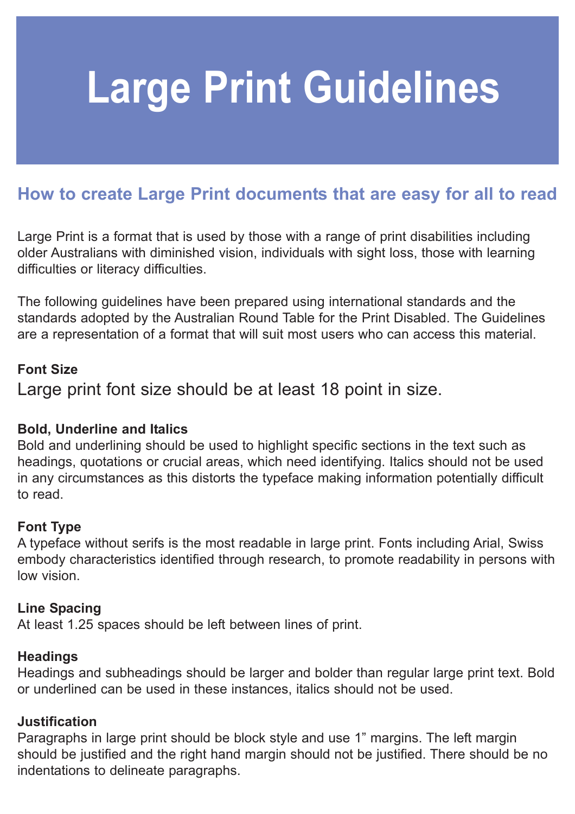# **Large Print Guidelines**

## **How to create Large Print documents that are easy for all to read**

Large Print is a format that is used by those with a range of print disabilities including older Australians with diminished vision, individuals with sight loss, those with learning difficulties or literacy difficulties.

The following guidelines have been prepared using international standards and the standards adopted by the Australian Round Table for the Print Disabled. The Guidelines are a representation of a format that will suit most users who can access this material.

#### **Font Size**

Large print font size should be at least 18 point in size.

#### **Bold, Underline and Italics**

Bold and underlining should be used to highlight specific sections in the text such as headings, quotations or crucial areas, which need identifying. Italics should not be used in any circumstances as this distorts the typeface making information potentially difficult to read.

#### **Font Type**

A typeface without serifs is the most readable in large print. Fonts including Arial, Swiss embody characteristics identified through research, to promote readability in persons with low vision.

#### **Line Spacing**

At least 1.25 spaces should be left between lines of print.

#### **Headings**

Headings and subheadings should be larger and bolder than regular large print text. Bold or underlined can be used in these instances, italics should not be used.

#### **Justification**

Paragraphs in large print should be block style and use 1" margins. The left margin should be justified and the right hand margin should not be justified. There should be no indentations to delineate paragraphs.